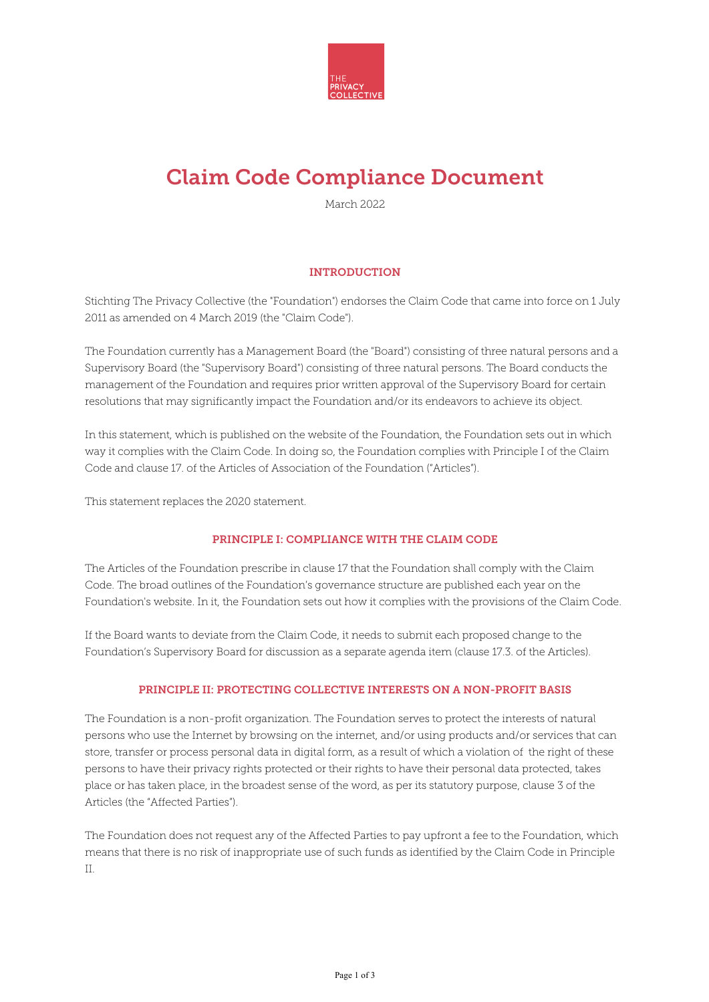

# Claim Code Compliance Document

March 2022

## **INTRODUCTION**

Stichting The Privacy Collective (the "Foundation") endorses the Claim Code that came into force on 1 July 2011 as amended on 4 March 2019 (the "Claim Code").

The Foundation currently has a Management Board (the "Board") consisting of three natural persons and a Supervisory Board (the "Supervisory Board") consisting of three natural persons. The Board conducts the management of the Foundation and requires prior written approval of the Supervisory Board for certain resolutions that may significantly impact the Foundation and/or its endeavors to achieve its object.

In this statement, which is published on the website of the Foundation, the Foundation sets out in which way it complies with the Claim Code. In doing so, the Foundation complies with Principle I of the Claim Code and clause 17. of the Articles of Association of the Foundation ("Articles").

This statement replaces the 2020 statement.

## PRINCIPLE I: COMPLIANCE WITH THE CLAIM CODE

The Articles of the Foundation prescribe in clause 17 that the Foundation shall comply with the Claim Code. The broad outlines of the Foundation's governance structure are published each year on the Foundation's website. In it, the Foundation sets out how it complies with the provisions of the Claim Code.

If the Board wants to deviate from the Claim Code, it needs to submit each proposed change to the Foundation's Supervisory Board for discussion as a separate agenda item (clause 17.3. of the Articles).

### PRINCIPLE II: PROTECTING COLLECTIVE INTERESTS ON A NON-PROFIT BASIS

The Foundation is a non-profit organization. The Foundation serves to protect the interests of natural persons who use the Internet by browsing on the internet, and/or using products and/or services that can store, transfer or process personal data in digital form, as a result of which a violation of the right of these persons to have their privacy rights protected or their rights to have their personal data protected, takes place or has taken place, in the broadest sense of the word, as per its statutory purpose, clause 3 of the Articles (the "Affected Parties").

The Foundation does not request any of the Affected Parties to pay upfront a fee to the Foundation, which means that there is no risk of inappropriate use of such funds as identified by the Claim Code in Principle II.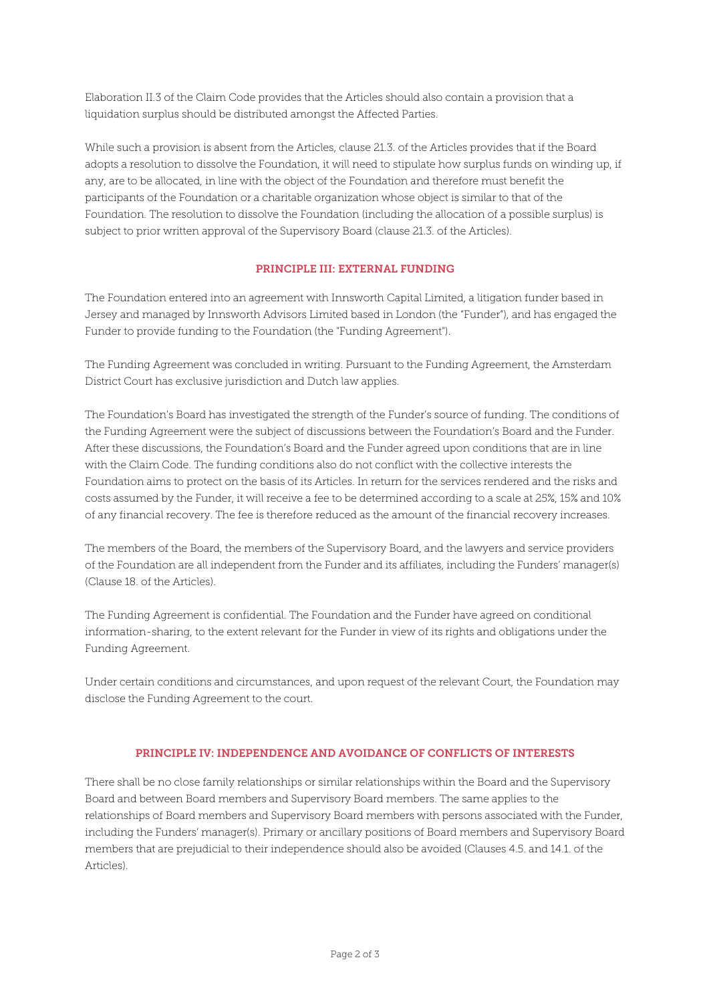Elaboration II.3 of the Claim Code provides that the Articles should also contain a provision that a liquidation surplus should be distributed amongst the Affected Parties.

While such a provision is absent from the Articles, clause 21.3. of the Articles provides that if the Board adopts a resolution to dissolve the Foundation, it will need to stipulate how surplus funds on winding up, if any, are to be allocated, in line with the object of the Foundation and therefore must benefit the participants of the Foundation or a charitable organization whose object is similar to that of the Foundation. The resolution to dissolve the Foundation (including the allocation of a possible surplus) is subject to prior written approval of the Supervisory Board (clause 21.3. of the Articles).

## PRINCIPLE III: EXTERNAL FUNDING

The Foundation entered into an agreement with Innsworth Capital Limited, a litigation funder based in Jersey and managed by Innsworth Advisors Limited based in London (the "Funder"), and has engaged the Funder to provide funding to the Foundation (the "Funding Agreement").

The Funding Agreement was concluded in writing. Pursuant to the Funding Agreement, the Amsterdam District Court has exclusive jurisdiction and Dutch law applies.

The Foundation's Board has investigated the strength of the Funder's source of funding. The conditions of the Funding Agreement were the subject of discussions between the Foundation's Board and the Funder. After these discussions, the Foundation's Board and the Funder agreed upon conditions that are in line with the Claim Code. The funding conditions also do not conflict with the collective interests the Foundation aims to protect on the basis of its Articles. In return for the services rendered and the risks and costs assumed by the Funder, it will receive a fee to be determined according to a scale at 25%, 15% and 10% of any financial recovery. The fee is therefore reduced as the amount of the financial recovery increases.

The members of the Board, the members of the Supervisory Board, and the lawyers and service providers of the Foundation are all independent from the Funder and its affiliates, including the Funders' manager(s) (Clause 18. of the Articles).

The Funding Agreement is confidential. The Foundation and the Funder have agreed on conditional information-sharing, to the extent relevant for the Funder in view of its rights and obligations under the Funding Agreement.

Under certain conditions and circumstances, and upon request of the relevant Court, the Foundation may disclose the Funding Agreement to the court.

#### PRINCIPLE IV: INDEPENDENCE AND AVOIDANCE OF CONFLICTS OF INTERESTS

There shall be no close family relationships or similar relationships within the Board and the Supervisory Board and between Board members and Supervisory Board members. The same applies to the relationships of Board members and Supervisory Board members with persons associated with the Funder, including the Funders' manager(s). Primary or ancillary positions of Board members and Supervisory Board members that are prejudicial to their independence should also be avoided (Clauses 4.5. and 14.1. of the Articles).